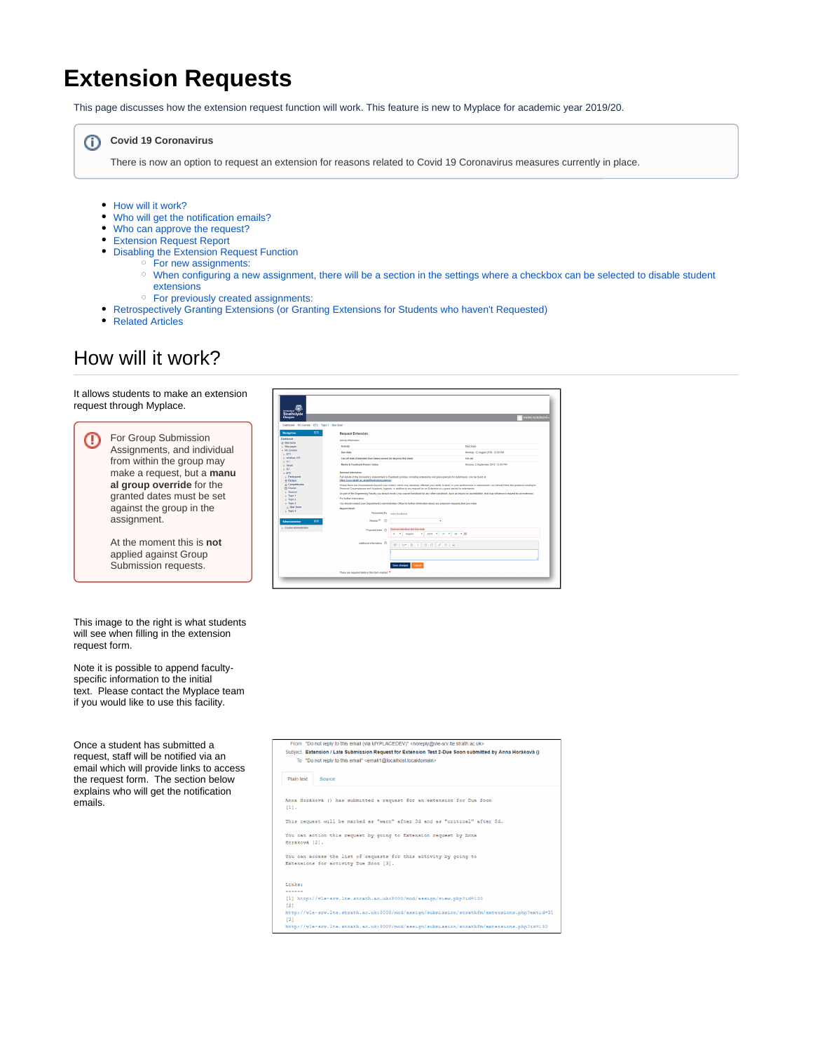## **Extension Requests**

This page discusses how the extension request function will work. This feature is new to Myplace for academic year 2019/20.

#### **Covid 19 Coronavirus**  $(i)$

There is now an option to request an extension for reasons related to Covid 19 Coronavirus measures currently in place.

- [How will it work?](#page-0-0)
- [Who will get the notification emails?](#page-1-0)
- [Who can approve the request?](#page-1-1)
- [Extension Request Report](#page-2-0)
- [Disabling the Extension Request Function](#page-2-1)
	- [For new assignments:](#page-2-2)
	- [When configuring a new assignment, there will be a section in the settings where a checkbox can be selected to disable student](#page-3-0)  [extensions](#page-3-0)
	- [For previously created assignments:](#page-3-1)
- [Retrospectively Granting Extensions \(or Granting Extensions for Students who haven't Requested\)](#page-3-2)
- [Related Articles](#page-4-0)

## <span id="page-0-0"></span>How will it work?

⊕

It allows students to make an extension request through Myplace.



This image to the right is what students will see when filling in the extension request form.

Note it is possible to append facultyspecific information to the initial text. Please contact the Myplace team if you would like to use this facility.

Once a student has submitted a request, staff will be notified via an email which will provide links to access the request form. The section below explains who will get the notification emails.

| Dashboard - My courses - ET2 - Topic 3 - Due Soon |                                                              |                                                                                                                                                                                                                                                                                                                   |  |  |  |  |  |
|---------------------------------------------------|--------------------------------------------------------------|-------------------------------------------------------------------------------------------------------------------------------------------------------------------------------------------------------------------------------------------------------------------------------------------------------------------|--|--|--|--|--|
|                                                   |                                                              |                                                                                                                                                                                                                                                                                                                   |  |  |  |  |  |
| 同文<br><b>Navigation</b>                           | <b>Request Extension</b>                                     |                                                                                                                                                                                                                                                                                                                   |  |  |  |  |  |
| Dashboard                                         | Activity information                                         |                                                                                                                                                                                                                                                                                                                   |  |  |  |  |  |
| at Site hame<br>> Sile pages                      | Activity                                                     | Due Soon                                                                                                                                                                                                                                                                                                          |  |  |  |  |  |
| - My courses                                      |                                                              |                                                                                                                                                                                                                                                                                                                   |  |  |  |  |  |
| ETI                                               | Dan date                                                     | Monday, 12 August 2019, 12:00 PM                                                                                                                                                                                                                                                                                  |  |  |  |  |  |
| $+$ Mallipa.133                                   | Cut-off date (Extended Due Dates cannot be beyond this time) | <b>Stol and</b>                                                                                                                                                                                                                                                                                                   |  |  |  |  |  |
| $E$ C1<br>1.5 <sub>real</sub>                     | Marks & Feedback Return Dates                                | Monday, 2 September 2019, 12:00 PM                                                                                                                                                                                                                                                                                |  |  |  |  |  |
| $h$ D1                                            |                                                              |                                                                                                                                                                                                                                                                                                                   |  |  |  |  |  |
| $-$ ET2                                           | <b>Extensive Information</b>                                 |                                                                                                                                                                                                                                                                                                                   |  |  |  |  |  |
| » Participants                                    |                                                              | Full details of the University's Assessment & Poedback policies, including extensions and erace periods for submission, can be found at                                                                                                                                                                           |  |  |  |  |  |
| <b>IDadges</b><br>A Competencies                  | hilles innoves single as unistallizations (assistants)       |                                                                                                                                                                                                                                                                                                                   |  |  |  |  |  |
| <b>PIT Grades</b>                                 |                                                              | Where there are circumstances beyond your control, which may adversely affected your ability to study or your performance in assessment, you should follow the guidance relating to<br>Personal Circumstances and Academic Acoeals, in addition to any request for an Extension or a grace period for submission. |  |  |  |  |  |
| <b>b</b> General                                  |                                                              |                                                                                                                                                                                                                                                                                                                   |  |  |  |  |  |
| $>$ Tapic 1                                       |                                                              | As part of the Engineering Faculty you should review your course handbook for any other conditions, such as impact on accreditation. that may influence a request for an extension.                                                                                                                               |  |  |  |  |  |
| $n$ Taple 2                                       |                                                              | <b>Cor further information:</b>                                                                                                                                                                                                                                                                                   |  |  |  |  |  |
|                                                   |                                                              |                                                                                                                                                                                                                                                                                                                   |  |  |  |  |  |
| $-$ Tapic 3                                       |                                                              | You should contact your Degartment's Administration Office for further information about any extension requests that you make.                                                                                                                                                                                    |  |  |  |  |  |
| <b>El Due Soon</b>                                | <b>Request Details</b>                                       |                                                                                                                                                                                                                                                                                                                   |  |  |  |  |  |
| $h$ Tapic 4                                       | Requested By Anna Horistoni                                  |                                                                                                                                                                                                                                                                                                                   |  |  |  |  |  |
| 同文<br><b>Administration</b>                       | Reason <sup>®</sup> (1)                                      | ٠                                                                                                                                                                                                                                                                                                                 |  |  |  |  |  |
|                                                   |                                                              | Must be later than the Due date                                                                                                                                                                                                                                                                                   |  |  |  |  |  |
| > Course administration                           | Proposed date (D)                                            | v 2019 v 11 v 04 v 11<br>* Assurt<br>ő.                                                                                                                                                                                                                                                                           |  |  |  |  |  |
|                                                   |                                                              |                                                                                                                                                                                                                                                                                                                   |  |  |  |  |  |
|                                                   | Additional information (D)                                   | $\mathbb{H}$ $\mathcal{A}$ $\bullet$ $\mathbb{B}$ $I$ $\mathbb{H}$ $\mathbb{H}$ $\mathscr{S}$ $\mathbb{R}$                                                                                                                                                                                                        |  |  |  |  |  |
|                                                   |                                                              |                                                                                                                                                                                                                                                                                                                   |  |  |  |  |  |
|                                                   |                                                              |                                                                                                                                                                                                                                                                                                                   |  |  |  |  |  |
|                                                   |                                                              |                                                                                                                                                                                                                                                                                                                   |  |  |  |  |  |

|                  | T TOTH  DO TRATTGER 10. BRD GHRBL CHR IVET LANGEDE CL. SHORDERWOOD CHOUR BURGLOCHE<br>Subject Extension / Late Submission Request for Extension Test 2-Due Soon submitted by Anna Horáková ()<br>To "Do not reply to this email" <email1@localhost.localdomain></email1@localhost.localdomain> |
|------------------|------------------------------------------------------------------------------------------------------------------------------------------------------------------------------------------------------------------------------------------------------------------------------------------------|
| Plain text       | Source                                                                                                                                                                                                                                                                                         |
| $[1]$ .          | Anna Horáková () has submitted a request for an extension for Due Soon                                                                                                                                                                                                                         |
|                  | This request will be marked as "warn" after 3d and as "critical" after 5d.                                                                                                                                                                                                                     |
| Horáková [2].    | You can action this request by going to Extension request by Anna                                                                                                                                                                                                                              |
|                  | You can access the list of requests for this activity by going to<br>Extensions for activity Due Soon [3].                                                                                                                                                                                     |
| Links:<br>------ |                                                                                                                                                                                                                                                                                                |
| 121              | [1] http://vle-srv.lte.strath.ac.uk:8000/mod/assign/view.php?id=130                                                                                                                                                                                                                            |

http://vle-srv.lte.strath.ac.uk:8000/mod/assign/submission/strathfm/extensions.p v.lte.strath.ac.uk:8000/mod/assign/sub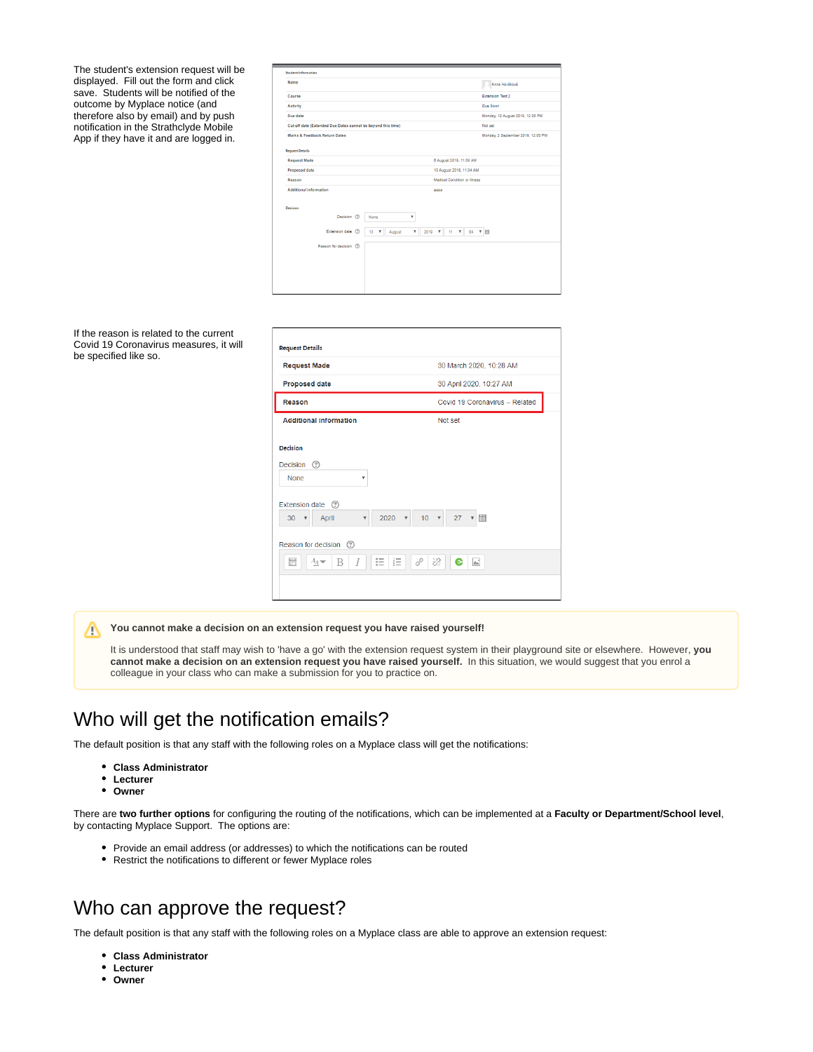The student's extension request will be displayed. Fill out the form and click save. Students will be notified of the outcome by Myplace notice (and therefore also by email) and by push notification in the Strathclyde Mobile App if they have it and are logged in.

| <b>Student Information</b>                                   |                                                |                                                     |                                    |  |  |  |
|--------------------------------------------------------------|------------------------------------------------|-----------------------------------------------------|------------------------------------|--|--|--|
| Name                                                         |                                                |                                                     | Anna Horáková                      |  |  |  |
| Course                                                       |                                                |                                                     | <b>Extension Test 2</b>            |  |  |  |
| Activity                                                     |                                                |                                                     | Due Soon                           |  |  |  |
| Due date                                                     |                                                |                                                     | Monday, 12 August 2019, 12:00 PM   |  |  |  |
| Cut-off date (Extended Due Dates cannot be beyond this time) |                                                |                                                     | Not set                            |  |  |  |
| <b>Marks &amp; Feedback Return Dates</b>                     |                                                |                                                     | Monday, 2 September 2019, 12:00 PM |  |  |  |
| <b>Request Details</b>                                       |                                                |                                                     |                                    |  |  |  |
| <b>Request Made</b>                                          |                                                | 6 August 2019, 11:09 AM                             |                                    |  |  |  |
| <b>Proposed date</b>                                         |                                                | 13 August 2019, 11:04 AM                            |                                    |  |  |  |
| Reason                                                       |                                                | Medical Condition or illness                        |                                    |  |  |  |
| Additional information                                       |                                                | 3333                                                |                                    |  |  |  |
| Decision                                                     |                                                |                                                     |                                    |  |  |  |
| Decision (?)                                                 | None<br>۷                                      |                                                     |                                    |  |  |  |
| Extension date (                                             | $\boldsymbol{\mathrm{v}}$<br>August<br>13<br>۷ | $\boldsymbol{\mathrm{v}}$<br>04<br>$2019$ $W$<br>11 | ▼图                                 |  |  |  |
| Reason for decision (?)                                      |                                                |                                                     |                                    |  |  |  |
|                                                              |                                                |                                                     |                                    |  |  |  |
|                                                              |                                                |                                                     |                                    |  |  |  |
|                                                              |                                                |                                                     |                                    |  |  |  |
|                                                              |                                                |                                                     |                                    |  |  |  |
|                                                              |                                                |                                                     |                                    |  |  |  |

If the reason is related to the current Covid 19 Coronavirus measures, it will be specified like so.

| <b>Request Made</b>                                                                                                                               | 30 March 2020, 10:28 AM        |
|---------------------------------------------------------------------------------------------------------------------------------------------------|--------------------------------|
| <b>Proposed date</b>                                                                                                                              | 30 April 2020, 10:27 AM        |
| Reason                                                                                                                                            | Covid 19 Coronavirus - Related |
| <b>Additional information</b>                                                                                                                     | Not set                        |
| <b>Decision</b><br>Decision (?)<br><b>None</b><br>۷<br>Extension date (?)<br>$2020$ $\sqrt{ }$<br>April<br>$30 \times$<br>$\overline{\mathbf{v}}$ | 27<br>$10 \times$              |
| Reason for decision (?)<br>這<br>這<br>$rac{1}{2}$<br>$A_{\underline{A}}$ $\rightarrow$<br>B<br>$\overline{l}$                                      | ੋਂ<br>8<br>$\mathbb{A}^*$<br>e |

**You cannot make a decision on an extension request you have raised yourself!** Δ

It is understood that staff may wish to 'have a go' with the extension request system in their playground site or elsewhere. However, **you cannot make a decision on an extension request you have raised yourself.** In this situation, we would suggest that you enrol a colleague in your class who can make a submission for you to practice on.

## <span id="page-1-0"></span>Who will get the notification emails?

The default position is that any staff with the following roles on a Myplace class will get the notifications:

- **Class Administrator**
- **Lecturer**
- **Owner**

There are **two further options** for configuring the routing of the notifications, which can be implemented at a **Faculty or Department/School level**, by contacting Myplace Support. The options are:

- Provide an email address (or addresses) to which the notifications can be routed
- Restrict the notifications to different or fewer Myplace roles

## <span id="page-1-1"></span>Who can approve the request?

The default position is that any staff with the following roles on a Myplace class are able to approve an extension request:

- **Class Administrator**
- **Lecturer**  $\bullet$
- **Owner**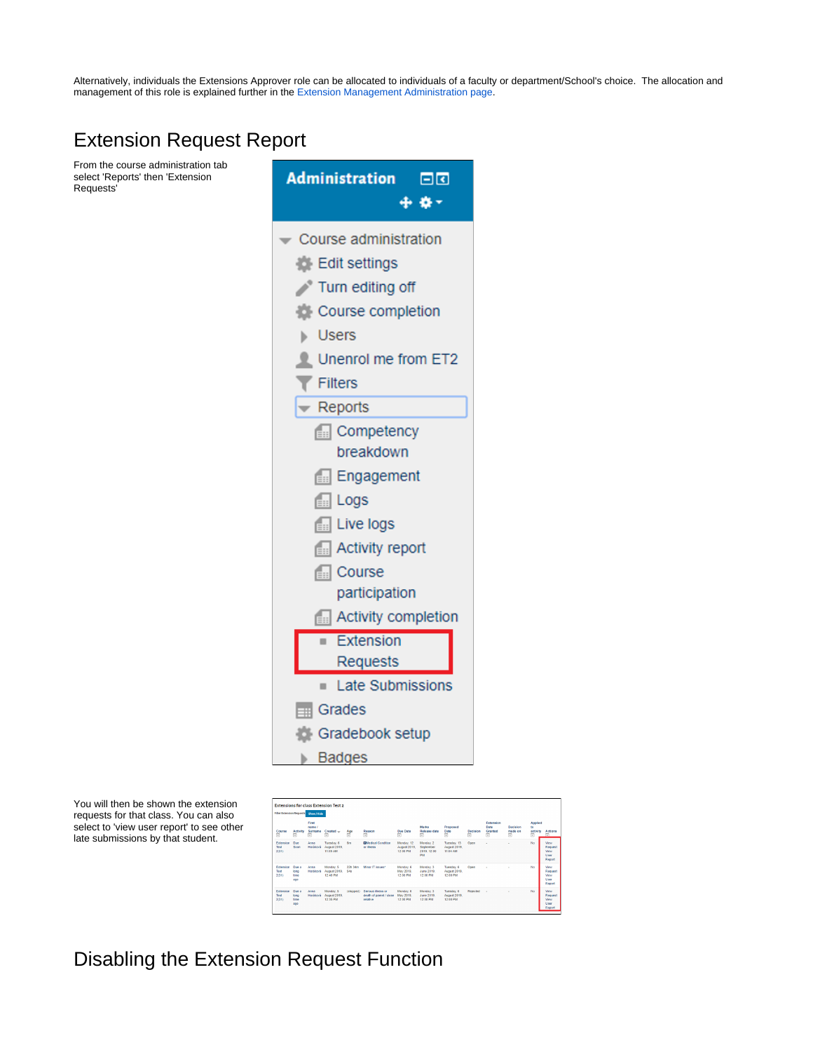Alternatively, individuals the Extensions Approver role can be allocated to individuals of a faculty or department/School's choice. The allocation and management of this role is explained further in the [Extension Management Administration page](https://wiki.lte.strath.ac.uk/display/MS/Extension+Management+Administration).

## <span id="page-2-0"></span>Extension Request Report

From the course administration tab select 'Reports' then 'Extension Requests'



You will then be shown the extension requests for that class. You can also select to 'view user report' to see other late submissions by that student.

| <b>Extensions for class Extension Test 2</b><br><b>Filter Extension Requests</b> Show / Hide |                                         |                                 |                                        |                |                                                         |                                        |                                                    |                                          |                      |                                                      |                                             |                                |                                                                       |
|----------------------------------------------------------------------------------------------|-----------------------------------------|---------------------------------|----------------------------------------|----------------|---------------------------------------------------------|----------------------------------------|----------------------------------------------------|------------------------------------------|----------------------|------------------------------------------------------|---------------------------------------------|--------------------------------|-----------------------------------------------------------------------|
| Course<br>$\qquad \qquad \Box$                                                               | <b>Artivity</b><br>$\qquad \qquad \Box$ | First<br>name /<br>Surname<br>Ξ | Created -<br>同                         | Age<br>đ       | Reason<br>Ξ                                             | Due Date<br>同                          | <b>Marks</b><br><b>Release date</b><br>同           | Proposed<br>Date<br>$\qquad \qquad \Box$ | Decision<br>$\equiv$ | Extension<br>Date<br>Granted<br>$\qquad \qquad \Box$ | Decision<br>made on<br>$\qquad \qquad \Box$ | Applied<br>to<br>activity<br>同 | Actions<br>$\Box$                                                     |
| Extension<br>Test<br>2(31)                                                                   | Don<br>Soro                             | Anna<br>Horáková                | Tuesday, 6<br>August 2019.<br>11:09:4M | 6m             | <b>Directical Condition</b><br>or illness               | Monday, 12<br>August 2019.<br>12:00 PM | Monday, 2<br>September<br>2019, 12:00<br><b>DM</b> | Tuesday, 13<br>August 2019.<br>11:04:4M  | Open                 |                                                      | $\sim$                                      | No                             | View<br>Request<br>View<br>User<br>Report                             |
| <b>Fytensinn</b><br>Test<br>2(31)                                                            | Don a<br>long<br>time<br>800            | Anna<br>Horáková                | Monday, 5<br>August 2019.<br>12:40 PM  | 22h 3dm<br>541 | Minor IT issues!                                        | Monday, 6<br>May 2019.<br>12:00 PM     | Monday, 3<br>June 2019.<br>12:00 PM                | Tuesday, 6<br>August 2019.<br>12:00 PM   | Onen                 | ×                                                    | ×.                                          | NA                             | <b>Mess</b><br>Request<br><b><i><u>Ment</u></i></b><br>User<br>Report |
| Extension<br>Test<br>2(31)                                                                   | Don a<br>long<br>time<br>ago            | Arna<br>Horáková                | Monday, 5<br>August 2019.<br>12:35 PM  | (stopped)      | Serious Bress or<br>death of parent / close<br>relative | Monday, 6<br>May 2019.<br>12:00 PM     | Monday <sub>3</sub><br>June 2019.<br>12:00 PM      | Tuesday, 6<br>August 2019.<br>12:00 PM   | Relected             | ×                                                    | $\sim$                                      | No                             | <b>View</b><br>Request<br>View<br>User<br>Report                      |

<span id="page-2-2"></span><span id="page-2-1"></span>Disabling the Extension Request Function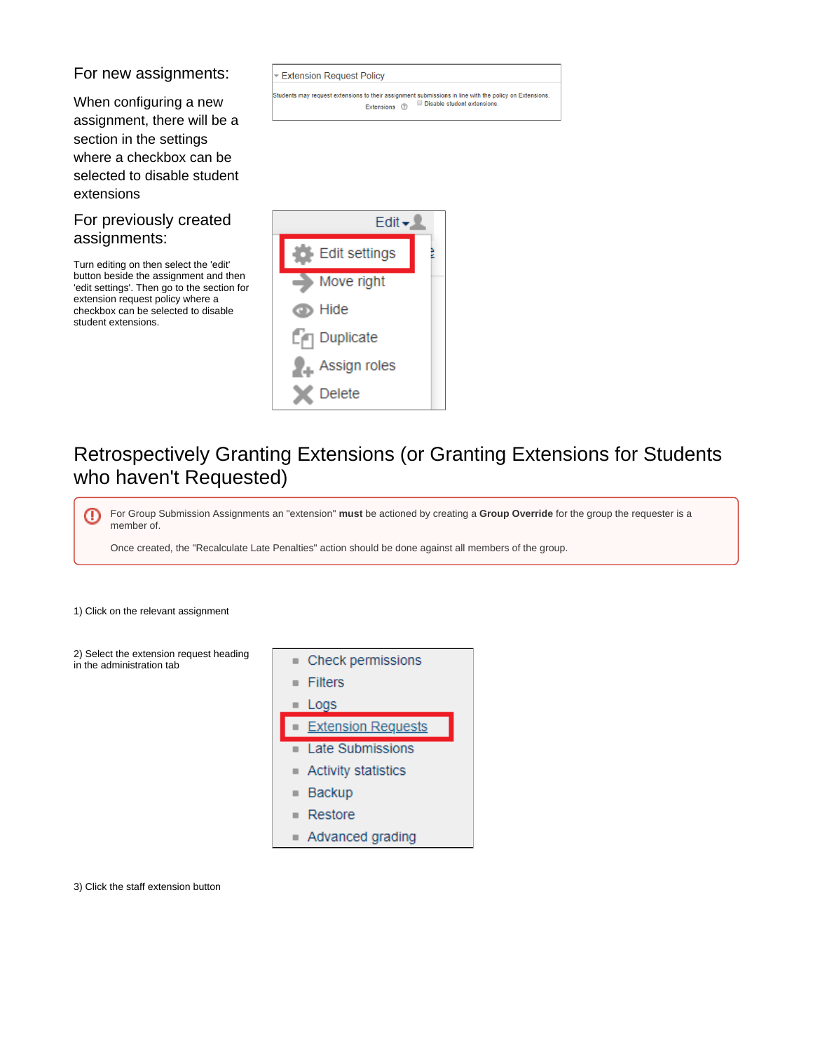#### For new assignments:

<span id="page-3-0"></span>When configuring a new assignment, there will be a section in the settings where a checkbox can be selected to disable student extensions

### <span id="page-3-1"></span>For previously created assignments:

Turn editing on then select the 'edit' button beside the assignment and then 'edit settings'. Then go to the section for extension request policy where a checkbox can be selected to disable student extensions.

**Extension Request Policy** 

Students may request extensions to their assignment submissions in line with the policy on Extensions.<br>Extensions  $\circledcirc$  Disable student extensions.



## <span id="page-3-2"></span>Retrospectively Granting Extensions (or Granting Extensions for Students who haven't Requested)

For Group Submission Assignments an "extension" **must** be actioned by creating a **Group Override** for the group the requester is a ⊕ member of.

Once created, the "Recalculate Late Penalties" action should be done against all members of the group.

1) Click on the relevant assignment

2) Select the extension request heading in the administration tab



3) Click the staff extension button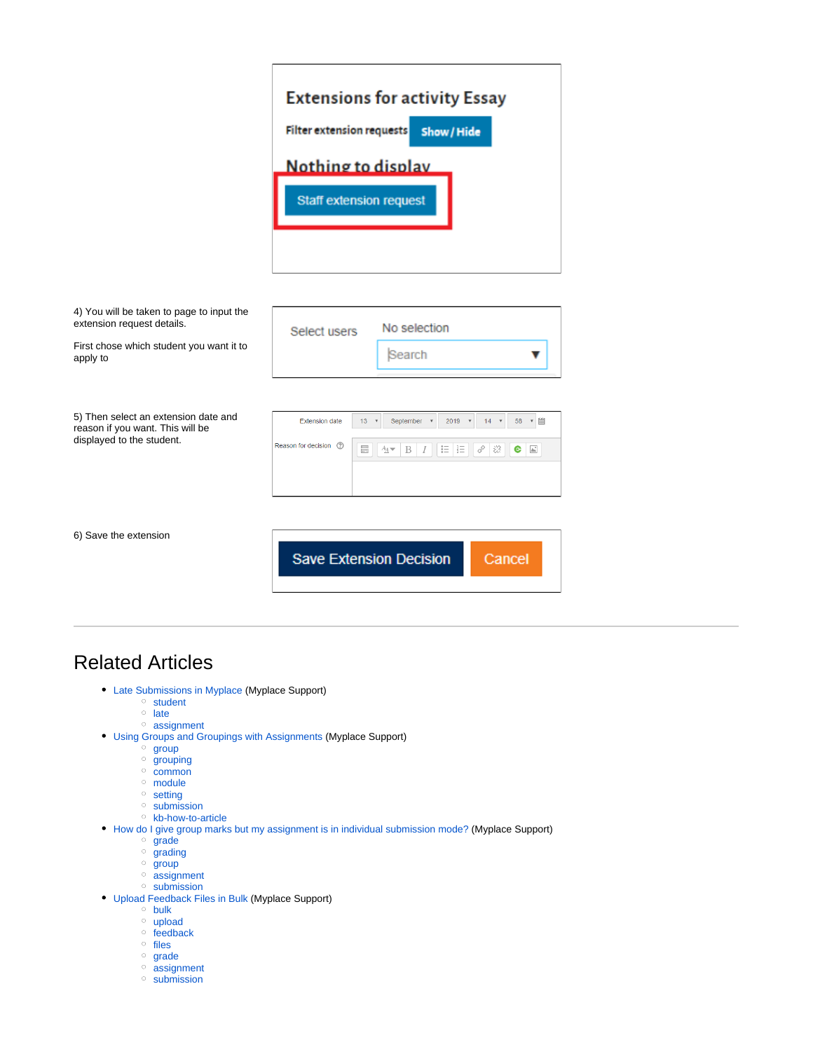# **Extensions for activity Essay Filter extension requests** Show / Hide Nothing to display **Staff extension request**

| Select users            |                 | No selection                                                                                 |  |  |  |  |
|-------------------------|-----------------|----------------------------------------------------------------------------------------------|--|--|--|--|
|                         |                 | Search                                                                                       |  |  |  |  |
|                         |                 |                                                                                              |  |  |  |  |
| <b>Extension date</b>   | 13 <sup>°</sup> | 圃<br>September<br>58<br>2019<br>$\boldsymbol{\mathrm{v}}$<br>14<br>$\boldsymbol{\mathrm{v}}$ |  |  |  |  |
| Reason for decision (?) | $rac{1}{2}$     | 這<br>這<br>8<br>ें<br>$\mathbb{A}^*$<br>$A_A \blacktriangleright$<br>B<br>e                   |  |  |  |  |
|                         |                 |                                                                                              |  |  |  |  |
|                         |                 |                                                                                              |  |  |  |  |
|                         |                 |                                                                                              |  |  |  |  |

6) Save the extension

**Save Extension Decision** Cancel

## <span id="page-4-0"></span>Related Articles

- [Late Submissions in Myplace](https://wiki.lte.strath.ac.uk/display/MS/Late+Submissions+in+Myplace) (Myplace Support)
	- <sup>o</sup> [student](https://wiki.lte.strath.ac.uk/label/student)
	- $\circ$  [late](https://wiki.lte.strath.ac.uk/label/late)
	- [assignment](https://wiki.lte.strath.ac.uk/label/assignment)
- [Using Groups and Groupings with Assignments](https://wiki.lte.strath.ac.uk/display/MS/Using+Groups+and+Groupings+with+Assignments) (Myplace Support)
	- [group](https://wiki.lte.strath.ac.uk/label/group)
	- [grouping](https://wiki.lte.strath.ac.uk/label/grouping)
	- <sup>o</sup> [common](https://wiki.lte.strath.ac.uk/label/common)
	- o [module](https://wiki.lte.strath.ac.uk/label/module)
	- <sup>o</sup> [setting](https://wiki.lte.strath.ac.uk/label/setting)
	- <sup>o</sup> [submission](https://wiki.lte.strath.ac.uk/label/submission)
	- <sup>o</sup> [kb-how-to-article](https://wiki.lte.strath.ac.uk/label/kb-how-to-article)
- [How do I give group marks but my assignment is in individual submission mode?](https://wiki.lte.strath.ac.uk/pages/viewpage.action?pageId=86736904) (Myplace Support)
	- <sup>o</sup> [grade](https://wiki.lte.strath.ac.uk/label/grade)
	- o [grading](https://wiki.lte.strath.ac.uk/label/grading)
	- [group](https://wiki.lte.strath.ac.uk/label/group)
	- [assignment](https://wiki.lte.strath.ac.uk/label/assignment)
	- <sup>o</sup> [submission](https://wiki.lte.strath.ac.uk/label/submission)
- [Upload Feedback Files in Bulk](https://wiki.lte.strath.ac.uk/display/MS/Upload+Feedback+Files+in+Bulk) (Myplace Support)
	- [bulk](https://wiki.lte.strath.ac.uk/label/bulk)
	- o [upload](https://wiki.lte.strath.ac.uk/label/upload)  $\circ$  [feedback](https://wiki.lte.strath.ac.uk/label/feedback)
	- <sup>o</sup> [files](https://wiki.lte.strath.ac.uk/label/files)
	- <sup>o</sup> [grade](https://wiki.lte.strath.ac.uk/label/grade)
	- o [assignment](https://wiki.lte.strath.ac.uk/label/assignment)
	- <sup>o</sup> [submission](https://wiki.lte.strath.ac.uk/label/submission)